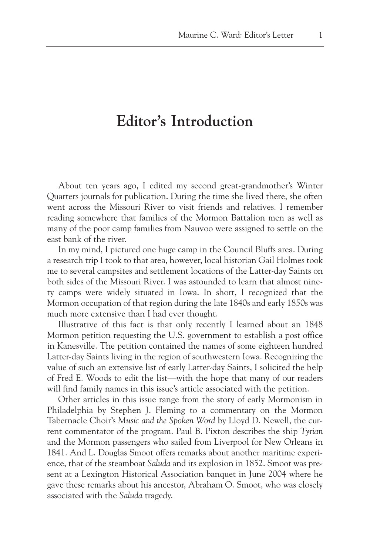## **Editor's Introduction**

About ten years ago, I edited my second great-grandmother's Winter Quarters journals for publication. During the time she lived there, she often went across the Missouri River to visit friends and relatives. I remember reading somewhere that families of the Mormon Battalion men as well as many of the poor camp families from Nauvoo were assigned to settle on the east bank of the river.

In my mind, I pictured one huge camp in the Council Bluffs area. During a research trip I took to that area, however, local historian Gail Holmes took me to several campsites and settlement locations of the Latter-day Saints on both sides of the Missouri River. I was astounded to learn that almost ninety camps were widely situated in Iowa. In short, I recognized that the Mormon occupation of that region during the late 1840s and early 1850s was much more extensive than I had ever thought.

Illustrative of this fact is that only recently I learned about an 1848 Mormon petition requesting the U.S. government to establish a post office in Kanesville. The petition contained the names of some eighteen hundred Latter-day Saints living in the region of southwestern Iowa. Recognizing the value of such an extensive list of early Latter-day Saints, I solicited the help of Fred E. Woods to edit the list—with the hope that many of our readers will find family names in this issue's article associated with the petition.

Other articles in this issue range from the story of early Mormonism in Philadelphia by Stephen J. Fleming to a commentary on the Mormon Tabernacle Choir's *Music and the Spoken Word* by Lloyd D. Newell, the current commentator of the program. Paul B. Pixton describes the ship *Tyrian* and the Mormon passengers who sailed from Liverpool for New Orleans in 1841. And L. Douglas Smoot offers remarks about another maritime experience, that of the steamboat *Saluda* and its explosion in 1852. Smoot was present at a Lexington Historical Association banquet in June 2004 where he gave these remarks about his ancestor, Abraham O. Smoot, who was closely associated with the *Saluda* tragedy.